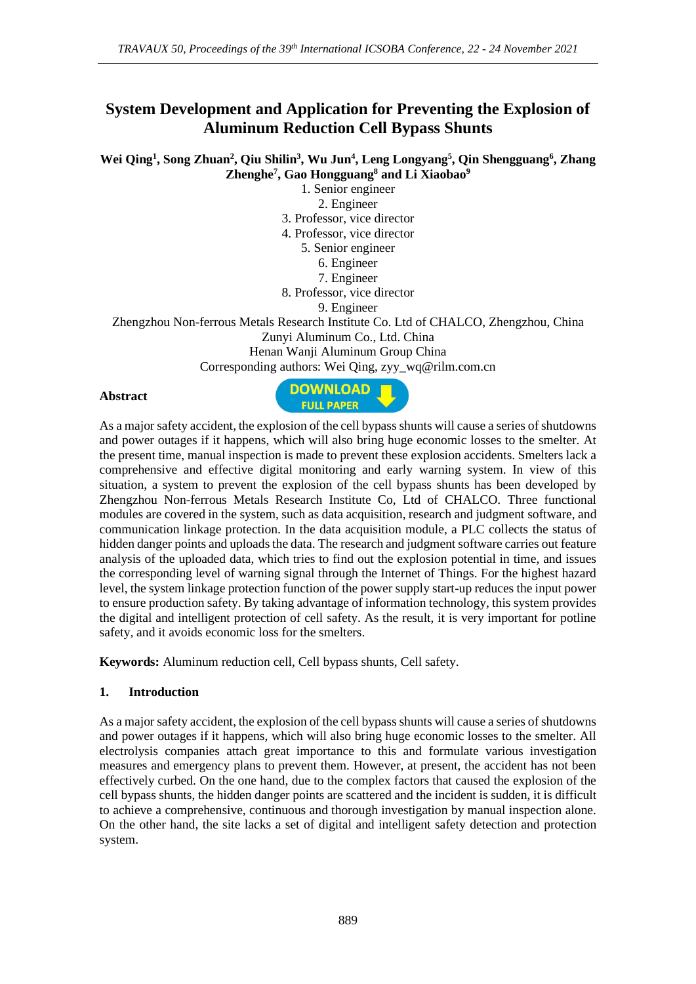# **System Development and Application for Preventing the Explosion of Aluminum Reduction Cell Bypass Shunts**

**Wei Qing<sup>1</sup> , Song Zhuan<sup>2</sup> , Qiu Shilin<sup>3</sup> , Wu Jun<sup>4</sup> , Leng Longyang<sup>5</sup> , Qin Shengguang<sup>6</sup> , Zhang Zhenghe<sup>7</sup> , Gao Hongguang<sup>8</sup> and Li Xiaobao<sup>9</sup>**

1. Senior engineer

2. Engineer

3. Professor, vice director

4. Professor, vice director

5. Senior engineer

6. Engineer

7. Engineer

8. Professor, vice director

9. Engineer

Zhengzhou Non-ferrous Metals Research Institute Co. Ltd of CHALCO, Zhengzhou, China Zunyi Aluminum Co., Ltd. China Henan Wanji Aluminum Group China

Corresponding authors: Wei Qing, zyy\_wq@rilm.com.cn

#### **Abstract**



As a major safety accident, the explosion of the cell bypass shunts will cause a series of shutdowns and power outages if it happens, which will also bring huge economic losses to the smelter. At the present time, manual inspection is made to prevent these explosion accidents. Smelters lack a comprehensive and effective digital monitoring and early warning system. In view of this situation, a system to prevent the explosion of the cell bypass shunts has been developed by Zhengzhou Non-ferrous Metals Research Institute Co, Ltd of CHALCO. Three functional modules are covered in the system, such as data acquisition, research and judgment software, and communication linkage protection. In the data acquisition module, a PLC collects the status of hidden danger points and uploads the data. The research and judgment software carries out feature analysis of the uploaded data, which tries to find out the explosion potential in time, and issues the corresponding level of warning signal through the Internet of Things. For the highest hazard level, the system linkage protection function of the power supply start-up reduces the input power to ensure production safety. By taking advantage of information technology, this system provides the digital and intelligent protection of cell safety. As the result, it is very important for potline safety, and it avoids economic loss for the smelters.

**Keywords:** Aluminum reduction cell, Cell bypass shunts, Cell safety.

#### **1. Introduction**

As a major safety accident, the explosion of the cell bypass shunts will cause a series of shutdowns and power outages if it happens, which will also bring huge economic losses to the smelter. All electrolysis companies attach great importance to this and formulate various investigation measures and emergency plans to prevent them. However, at present, the accident has not been effectively curbed. On the one hand, due to the complex factors that caused the explosion of the cell bypass shunts, the hidden danger points are scattered and the incident is sudden, it is difficult to achieve a comprehensive, continuous and thorough investigation by manual inspection alone. On the other hand, the site lacks a set of digital and intelligent safety detection and protection system.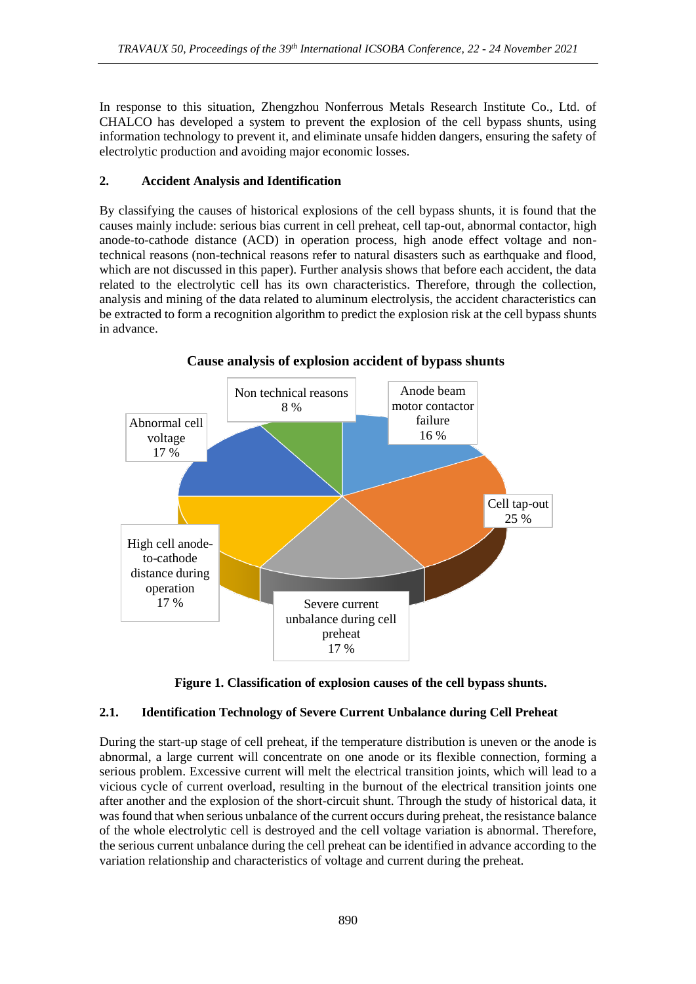In response to this situation, Zhengzhou Nonferrous Metals Research Institute Co., Ltd. of CHALCO has developed a system to prevent the explosion of the cell bypass shunts, using information technology to prevent it, and eliminate unsafe hidden dangers, ensuring the safety of electrolytic production and avoiding major economic losses.

## **2. Accident Analysis and Identification**

By classifying the causes of historical explosions of the cell bypass shunts, it is found that the causes mainly include: serious bias current in cell preheat, cell tap-out, abnormal contactor, high anode-to-cathode distance (ACD) in operation process, high anode effect voltage and nontechnical reasons (non-technical reasons refer to natural disasters such as earthquake and flood, which are not discussed in this paper). Further analysis shows that before each accident, the data related to the electrolytic cell has its own characteristics. Therefore, through the collection, analysis and mining of the data related to aluminum electrolysis, the accident characteristics can be extracted to form a recognition algorithm to predict the explosion risk at the cell bypass shunts in advance.



**Cause analysis of explosion accident of bypass shunts**

**Figure 1. Classification of explosion causes of the cell bypass shunts.**

# **2.1. Identification Technology of Severe Current Unbalance during Cell Preheat**

During the start-up stage of cell preheat, if the temperature distribution is uneven or the anode is abnormal, a large current will concentrate on one anode or its flexible connection, forming a serious problem. Excessive current will melt the electrical transition joints, which will lead to a vicious cycle of current overload, resulting in the burnout of the electrical transition joints one after another and the explosion of the short-circuit shunt. Through the study of historical data, it was found that when serious unbalance of the current occurs during preheat, the resistance balance of the whole electrolytic cell is destroyed and the cell voltage variation is abnormal. Therefore, the serious current unbalance during the cell preheat can be identified in advance according to the variation relationship and characteristics of voltage and current during the preheat.